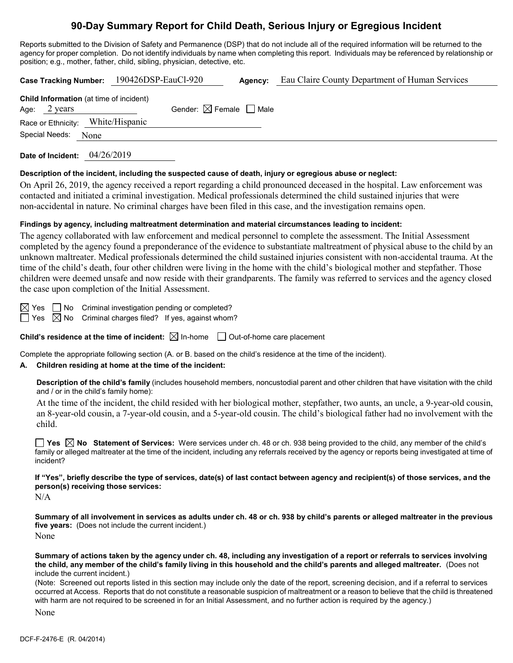# **90-Day Summary Report for Child Death, Serious Injury or Egregious Incident**

Reports submitted to the Division of Safety and Permanence (DSP) that do not include all of the required information will be returned to the agency for proper completion. Do not identify individuals by name when completing this report. Individuals may be referenced by relationship or position; e.g., mother, father, child, sibling, physician, detective, etc.

| Case Tracking Number: 190426DSP-EauCl-920                      | Agency:                                |  | Eau Claire County Department of Human Services |  |  |
|----------------------------------------------------------------|----------------------------------------|--|------------------------------------------------|--|--|
| <b>Child Information</b> (at time of incident)<br>Age: 2 years | Gender: $\boxtimes$ Female $\Box$ Male |  |                                                |  |  |
| Race or Ethnicity: White/Hispanic                              |                                        |  |                                                |  |  |
| Special Needs: None                                            |                                        |  |                                                |  |  |
|                                                                |                                        |  |                                                |  |  |

**Date of Incident:** 04/26/2019

#### **Description of the incident, including the suspected cause of death, injury or egregious abuse or neglect:**

On April 26, 2019, the agency received a report regarding a child pronounced deceased in the hospital. Law enforcement was contacted and initiated a criminal investigation. Medical professionals determined the child sustained injuries that were non-accidental in nature. No criminal charges have been filed in this case, and the investigation remains open.

#### **Findings by agency, including maltreatment determination and material circumstances leading to incident:**

The agency collaborated with law enforcement and medical personnel to complete the assessment. The Initial Assessment completed by the agency found a preponderance of the evidence to substantiate maltreatment of physical abuse to the child by an unknown maltreater. Medical professionals determined the child sustained injuries consistent with non-accidental trauma. At the time of the child's death, four other children were living in the home with the child's biological mother and stepfather. Those children were deemed unsafe and now reside with their grandparents. The family was referred to services and the agency closed the case upon completion of the Initial Assessment.

 $\boxtimes$  Yes  $\Box$  No Criminal investigation pending or completed?

 $\Box$  Yes  $\boxtimes$  No Criminal charges filed? If yes, against whom?

**Child's residence at the time of incident:**  $\boxtimes$  In-home  $\Box$  Out-of-home care placement

Complete the appropriate following section (A. or B. based on the child's residence at the time of the incident).

#### **A. Children residing at home at the time of the incident:**

**Description of the child's family** (includes household members, noncustodial parent and other children that have visitation with the child and / or in the child's family home):

At the time of the incident, the child resided with her biological mother, stepfather, two aunts, an uncle, a 9-year-old cousin, an 8-year-old cousin, a 7-year-old cousin, and a 5-year-old cousin. The child's biological father had no involvement with the child.

**Yes No Statement of Services:** Were services under ch. 48 or ch. 938 being provided to the child, any member of the child's family or alleged maltreater at the time of the incident, including any referrals received by the agency or reports being investigated at time of incident?

**If "Yes", briefly describe the type of services, date(s) of last contact between agency and recipient(s) of those services, and the person(s) receiving those services:**

N/A

**Summary of all involvement in services as adults under ch. 48 or ch. 938 by child's parents or alleged maltreater in the previous five years:** (Does not include the current incident.) None

**Summary of actions taken by the agency under ch. 48, including any investigation of a report or referrals to services involving the child, any member of the child's family living in this household and the child's parents and alleged maltreater.** (Does not include the current incident.)

(Note: Screened out reports listed in this section may include only the date of the report, screening decision, and if a referral to services occurred at Access. Reports that do not constitute a reasonable suspicion of maltreatment or a reason to believe that the child is threatened with harm are not required to be screened in for an Initial Assessment, and no further action is required by the agency.)

None